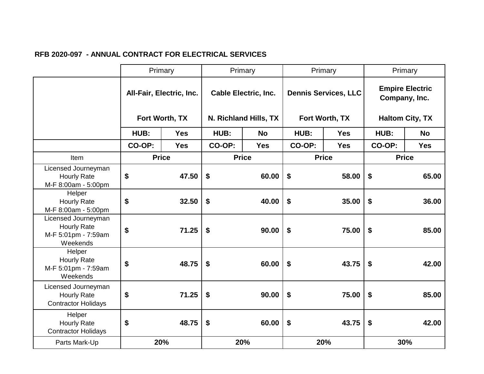|                                                                              | Primary                                    |            | Primary                     |                              | Primary                     |            | Primary                                 |            |
|------------------------------------------------------------------------------|--------------------------------------------|------------|-----------------------------|------------------------------|-----------------------------|------------|-----------------------------------------|------------|
|                                                                              | All-Fair, Electric, Inc.<br>Fort Worth, TX |            | <b>Cable Electric, Inc.</b> |                              | <b>Dennis Services, LLC</b> |            | <b>Empire Electric</b><br>Company, Inc. |            |
|                                                                              |                                            |            | N. Richland Hills, TX       |                              | Fort Worth, TX              |            | <b>Haltom City, TX</b>                  |            |
|                                                                              | HUB:                                       | <b>Yes</b> | HUB:                        | <b>No</b>                    | HUB:                        | <b>Yes</b> | HUB:                                    | <b>No</b>  |
|                                                                              | CO-OP:                                     | <b>Yes</b> | CO-OP:                      | <b>Yes</b>                   | CO-OP:                      | <b>Yes</b> | CO-OP:                                  | <b>Yes</b> |
| Item                                                                         | <b>Price</b>                               |            |                             | <b>Price</b><br><b>Price</b> |                             |            | <b>Price</b>                            |            |
| Licensed Journeyman<br><b>Hourly Rate</b><br>M-F 8:00am - 5:00pm             | \$                                         | 47.50      | \$                          | 60.00                        | \$                          | 58.00      | \$                                      | 65.00      |
| Helper<br><b>Hourly Rate</b><br>M-F 8:00am - 5:00pm                          | \$                                         | 32.50      | \$                          | 40.00                        | \$                          | 35.00      | \$                                      | 36.00      |
| Licensed Journeyman<br><b>Hourly Rate</b><br>M-F 5:01pm - 7:59am<br>Weekends | \$                                         | 71.25      | \$                          | 90.00                        | \$                          | 75.00      | \$                                      | 85.00      |
| Helper<br><b>Hourly Rate</b><br>M-F 5:01pm - 7:59am<br>Weekends              | \$                                         | 48.75      | \$                          | 60.00                        | \$                          | 43.75      | \$                                      | 42.00      |
| Licensed Journeyman<br><b>Hourly Rate</b><br><b>Contractor Holidays</b>      | \$                                         | 71.25      | $\boldsymbol{\mathsf{s}}$   | 90.00                        | \$                          | 75.00      | \$                                      | 85.00      |
| Helper<br><b>Hourly Rate</b><br><b>Contractor Holidays</b>                   | \$                                         | 48.75      | \$                          | 60.00                        | \$                          | 43.75      | \$                                      | 42.00      |
| Parts Mark-Up                                                                |                                            | 20%        |                             | 20%                          |                             | 20%        |                                         | 30%        |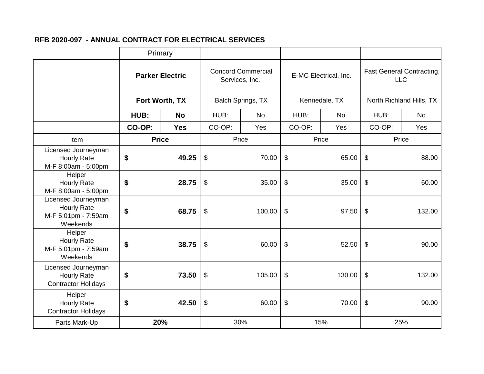|                                                                              | Primary                                  |              |                                             |           |                           |           |                                         |           |
|------------------------------------------------------------------------------|------------------------------------------|--------------|---------------------------------------------|-----------|---------------------------|-----------|-----------------------------------------|-----------|
|                                                                              | <b>Parker Electric</b><br>Fort Worth, TX |              | <b>Concord Commercial</b><br>Services, Inc. |           | E-MC Electrical, Inc.     |           | Fast General Contracting,<br><b>LLC</b> |           |
|                                                                              |                                          |              | Balch Springs, TX                           |           | Kennedale, TX             |           | North Richland Hills, TX                |           |
|                                                                              | HUB:                                     | <b>No</b>    | HUB:                                        | <b>No</b> | HUB:                      | <b>No</b> | HUB:                                    | <b>No</b> |
|                                                                              | CO-OP:                                   | <b>Yes</b>   | CO-OP:                                      | Yes       | CO-OP:                    | Yes       | CO-OP:                                  | Yes       |
| Item                                                                         |                                          | <b>Price</b> |                                             | Price     | Price                     |           | Price                                   |           |
| Licensed Journeyman<br><b>Hourly Rate</b><br>M-F 8:00am - 5:00pm             | \$                                       | 49.25        | \$                                          | 70.00     | $\sqrt[6]{\frac{1}{2}}$   | 65.00     | \$                                      | 88.00     |
| Helper<br><b>Hourly Rate</b><br>M-F 8:00am - 5:00pm                          | \$                                       | 28.75        | \$                                          | 35.00     | $\boldsymbol{\theta}$     | 35.00     | \$                                      | 60.00     |
| Licensed Journeyman<br><b>Hourly Rate</b><br>M-F 5:01pm - 7:59am<br>Weekends | \$                                       | 68.75        | $\boldsymbol{\mathsf{S}}$                   | 100.00    | $\boldsymbol{\theta}$     | 97.50     | $\boldsymbol{\mathsf{\$}}$              | 132.00    |
| Helper<br><b>Hourly Rate</b><br>M-F 5:01pm - 7:59am<br>Weekends              | \$                                       | 38.75        | $\boldsymbol{\theta}$                       | 60.00     | $\mathfrak{S}$            | 52.50     | $\boldsymbol{\theta}$                   | 90.00     |
| Licensed Journeyman<br><b>Hourly Rate</b><br><b>Contractor Holidays</b>      | \$                                       | 73.50        | $\frac{1}{2}$                               | 105.00    | \$                        | 130.00    | $\boldsymbol{\mathsf{\$}}$              | 132.00    |
| Helper<br><b>Hourly Rate</b><br><b>Contractor Holidays</b>                   | \$                                       | 42.50        | $\boldsymbol{\theta}$                       | 60.00     | $\boldsymbol{\mathsf{S}}$ | 70.00     | $\boldsymbol{\mathsf{\$}}$              | 90.00     |
| Parts Mark-Up                                                                |                                          | 20%          |                                             | 30%       |                           | 15%       |                                         | 25%       |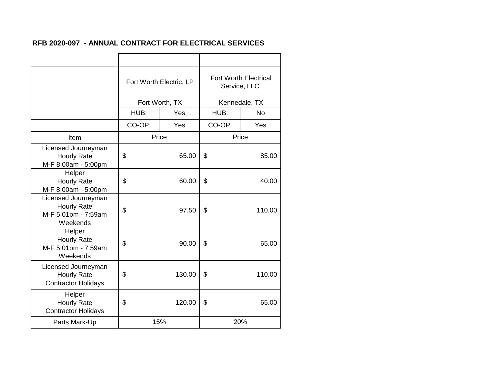|                                                                              | Fort Worth Electric, LP |        | <b>Fort Worth Electrical</b><br>Service, LLC |               |  |  |
|------------------------------------------------------------------------------|-------------------------|--------|----------------------------------------------|---------------|--|--|
|                                                                              | Fort Worth, TX          |        |                                              | Kennedale, TX |  |  |
|                                                                              | HUB:                    | Yes    | HUB:                                         | <b>No</b>     |  |  |
|                                                                              | CO-OP:                  | Yes    | CO-OP:                                       | Yes           |  |  |
| Item                                                                         | Price                   |        |                                              | Price         |  |  |
| Licensed Journeyman<br><b>Hourly Rate</b><br>M-F 8:00am - 5:00pm             | \$                      | 65.00  | \$                                           | 85.00         |  |  |
| Helper<br><b>Hourly Rate</b><br>M-F 8:00am - 5:00pm                          | \$<br>60.00             |        | \$                                           | 40.00         |  |  |
| Licensed Journeyman<br><b>Hourly Rate</b><br>M-F 5:01pm - 7:59am<br>Weekends | \$                      | 97.50  | \$                                           | 110.00        |  |  |
| Helper<br><b>Hourly Rate</b><br>M-F 5:01pm - 7:59am<br>Weekends              | \$                      | 90.00  | \$                                           | 65.00         |  |  |
| Licensed Journeyman<br><b>Hourly Rate</b><br><b>Contractor Holidays</b>      | \$                      | 130.00 | \$                                           | 110.00        |  |  |
| Helper<br><b>Hourly Rate</b><br><b>Contractor Holidays</b>                   | \$                      | 120.00 | \$                                           | 65.00         |  |  |
| Parts Mark-Up                                                                |                         | 15%    |                                              | 20%           |  |  |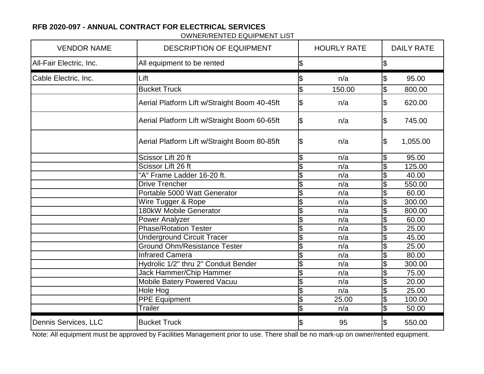Bucket Truck

Dennis Services, LLC

 $\sim$  \$  $\$\$$  n/a  $\$\$$  95.00  $\frac{1}{3}$  150.00  $\frac{1}{3}$  800.00  $|$ \$  $\frac{1}{8}$  020.00  $\$\quad n/\text{a} \quad \$\quad 745.00$  $\$\text{\textcolor{red}{\textbf{S}}} \qquad \qquad \text{\textcolor{red}{\textbf{N}}}\qquad \qquad \text{\textcolor{red}{\textbf{S}}} \qquad \text{\textcolor{red}{\textbf{1.055.00}}}$  $\sqrt{\$}$  n/a  $\sqrt{\$}$  95.00  $\frac{\$}{\$}$  n/a  $\frac{\$}{\$}$  125.00<br> $\frac{\$}{\$}$  n/a  $\frac{\$}{\$}$  40.00  $\begin{array}{@{}c@{\hspace{1em}}c@{\hspace{1em}}}\n & \text{p/2} & \text{s} & \text{p/2} \\
\hline\n\text{s} & \text{n/a} & \text{s} & \text{p/2} \\
\text{p/2} & \text{s} & \text{p/2} & \text{p/2} \\
\hline\n\end{array}$  $\frac{\$}{\$}$  n/a  $\frac{\$}{\$}$  550.00<br> $\frac{\$}{\$}$  n/a  $\frac{\$}{\$}$  60.00  $\frac{n}{a}$   $\frac{\$}{s}$  60.00<br> $\frac{n}{a}$   $\frac{\$}{s}$  300.00  $\frac{1}{3}$   $\frac{1}{2}$   $\frac{1}{300.00}$  $\$\$$  800.00  $\sqrt{3}$   $\sqrt{9}$   $\sqrt{9}$   $\sqrt{9}$   $\sqrt{9}$   $\sqrt{9}$  60.00  $\sqrt{3}$   $\sqrt{9}$   $\sqrt{9}$   $\sqrt{5}$   $\sqrt{25.00}$  $\begin{array}{|c|c|c|c|}\hline \mathsf{\$} & \mathsf{n/a} & \mathsf{\$} & \mathsf{45.00} \ \hline \mathsf{\$} & \mathsf{n/a} & \mathsf{\$} & \mathsf{25.00} \ \hline \end{array}$  $n/a$   $\vert \text{\$}$  25.00  $\$\$$  n/a  $\$\$$  80.00  $\begin{array}{ccccc} \text{\$} & \text{\$} & \text{\$} & \text{\$} & \text{\$} & \text{\$} & \text{\$} & \text{\$} & \text{\$} & \text{\$} & \text{\$} & \text{\$} & \text{\$} & \text{\$} & \text{\$} & \text{\$} & \text{\$} & \text{\$} & \text{\$} & \text{\$} & \text{\$} & \text{\$} & \text{\$} & \text{\$} & \text{\$} & \text{\$} & \text{\$} & \text{\$} & \text{\$} & \text{\$} & \text{\$} & \text{\$} & \text{\$} & \text{\$} & \text{\$} & \text$  $\sqrt{\$}$   $\sqrt{\$}$   $\sqrt{3}$   $\sqrt{5.00}$  $\$\$$  n/a  $\$\$$  20.00  $\begin{array}{|c|c|c|c|}\hline \mathsf{\$} & \mathsf{n/a} & \mathsf{\$} & \mathsf{25.00} \ \hline \mathsf{\$} & \mathsf{25.00} & \mathsf{\$} & \mathsf{100.00} \ \hline \end{array}$  $\$\qquad 25.00 \qquad \$\qquad 100.00$  $n/a$   $\frac{1}{3}$  50.00 All-Fair Electric, Inc. | All equipment to be rented VENDOR NAME  $\vert$  DESCRIPTION OF EQUIPMENT  $\vert$  HOURLY RATE  $\vert$  DAILY RATE Drive Trencher Portable 5000 Watt Generator Aerial Platform Lift w/Straight Boom 80-85ft 180kW Mobile Generator Power Analyzer Phase/Rotation Tester Underground Circuit Tracer PPE Equipment **Trailer** Ground Ohm/Resistance Tester Infrared Camera Hydrolic 1/2" thru 2" Conduit Bender Jack Hammer/Chip Hammer Mobile Batery Powered Vacuu Hole Hog Lift Bucket Truck "A" Frame Ladder 16-20 ft. Wire Tugger & Rope Scissor Lift 20 ft Scissor Lift 26 ft Cable Electric, Inc. Aerial Platform Lift w/Straight Boom 40-45ft Aerial Platform Lift w/Straight Boom 60-65ft

OWNER/RENTED EQUIPMENT LIST

Note: All equipment must be approved by Facilities Management prior to use. There shall be no mark-up on owner/rented equipment.

 $\$\$$  95  $\$\$$  550.00